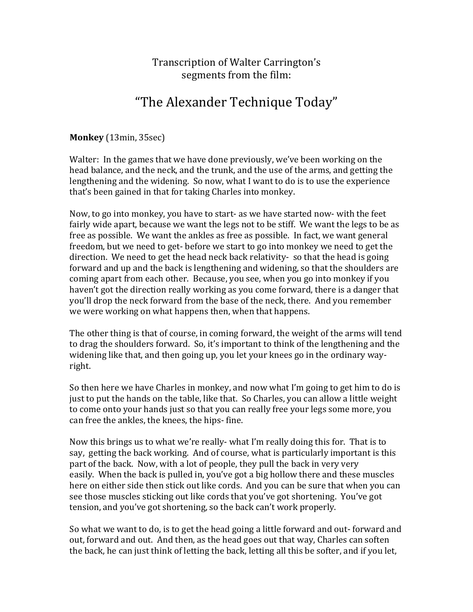## Transcription of Walter Carrington's segments from the film:

# "The Alexander Technique Today"

**Monkey** (13min, 35sec)

Walter: In the games that we have done previously, we've been working on the head balance, and the neck, and the trunk, and the use of the arms, and getting the lengthening and the widening. So now, what I want to do is to use the experience that's been gained in that for taking Charles into monkey.

Now, to go into monkey, you have to start- as we have started now- with the feet fairly wide apart, because we want the legs not to be stiff. We want the legs to be as free as possible. We want the ankles as free as possible. In fact, we want general freedom, but we need to get- before we start to go into monkey we need to get the direction. We need to get the head neck back relativity- so that the head is going forward and up and the back is lengthening and widening, so that the shoulders are coming apart from each other. Because, you see, when you go into monkey if you haven't got the direction really working as you come forward, there is a danger that you'll drop the neck forward from the base of the neck, there. And you remember we were working on what happens then, when that happens.

The other thing is that of course, in coming forward, the weight of the arms will tend to drag the shoulders forward. So, it's important to think of the lengthening and the widening like that, and then going up, you let your knees go in the ordinary wayright. 

So then here we have Charles in monkey, and now what I'm going to get him to do is just to put the hands on the table, like that. So Charles, you can allow a little weight to come onto your hands just so that you can really free your legs some more, you can free the ankles, the knees, the hips- fine.

Now this brings us to what we're really- what I'm really doing this for. That is to say, getting the back working. And of course, what is particularly important is this part of the back. Now, with a lot of people, they pull the back in very very easily. When the back is pulled in, you've got a big hollow there and these muscles here on either side then stick out like cords. And you can be sure that when you can see those muscles sticking out like cords that you've got shortening. You've got tension, and you've got shortening, so the back can't work properly.

So what we want to do, is to get the head going a little forward and out- forward and out, forward and out. And then, as the head goes out that way, Charles can soften the back, he can just think of letting the back, letting all this be softer, and if you let,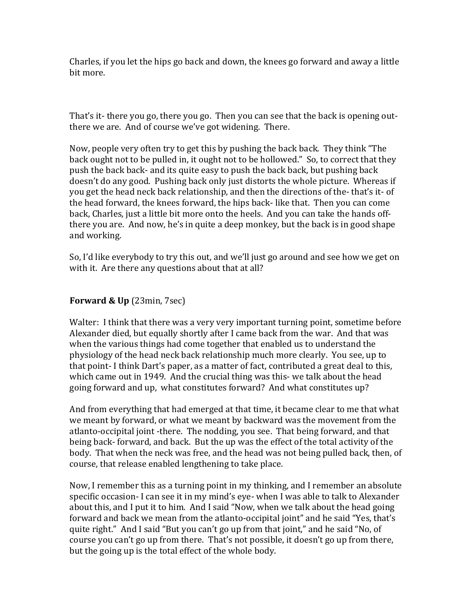Charles, if you let the hips go back and down, the knees go forward and away a little bit more.

That's it- there you go, there you go. Then you can see that the back is opening outthere we are. And of course we've got widening. There.

Now, people very often try to get this by pushing the back back. They think "The back ought not to be pulled in, it ought not to be hollowed." So, to correct that they push the back back- and its quite easy to push the back back, but pushing back doesn't do any good. Pushing back only just distorts the whole picture. Whereas if you get the head neck back relationship, and then the directions of the- that's it- of the head forward, the knees forward, the hips back- like that. Then you can come back, Charles, just a little bit more onto the heels. And you can take the hands offthere you are. And now, he's in quite a deep monkey, but the back is in good shape and working.

So, I'd like everybody to try this out, and we'll just go around and see how we get on with it. Are there any questions about that at all?

### **Forward & Up** (23min, 7sec)

Walter: I think that there was a very very important turning point, sometime before Alexander died, but equally shortly after I came back from the war. And that was when the various things had come together that enabled us to understand the physiology of the head neck back relationship much more clearly. You see, up to that point- I think Dart's paper, as a matter of fact, contributed a great deal to this, which came out in 1949. And the crucial thing was this- we talk about the head going forward and up, what constitutes forward? And what constitutes up?

And from everything that had emerged at that time, it became clear to me that what we meant by forward, or what we meant by backward was the movement from the atlanto-occipital joint -there. The nodding, you see. That being forward, and that being back- forward, and back. But the up was the effect of the total activity of the body. That when the neck was free, and the head was not being pulled back, then, of course, that release enabled lengthening to take place.

Now, I remember this as a turning point in my thinking, and I remember an absolute specific occasion- I can see it in my mind's eye- when I was able to talk to Alexander about this, and I put it to him. And I said "Now, when we talk about the head going forward and back we mean from the atlanto-occipital joint" and he said "Yes, that's quite right." And I said "But you can't go up from that joint," and he said "No, of course you can't go up from there. That's not possible, it doesn't go up from there, but the going up is the total effect of the whole body.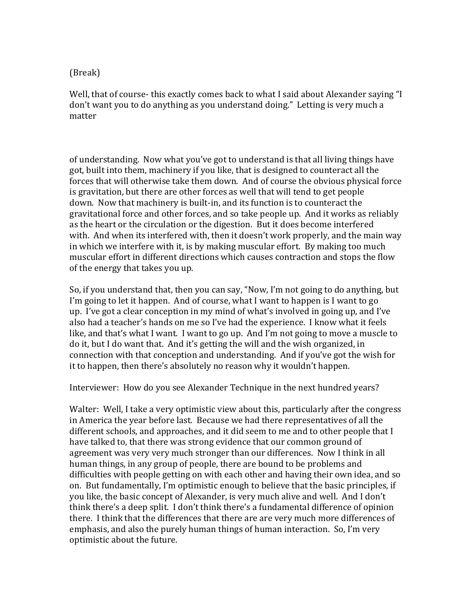### (Break)

Well, that of course- this exactly comes back to what I said about Alexander saying "I don't want you to do anything as you understand doing." Letting is very much a matter

of understanding. Now what you've got to understand is that all living things have got, built into them, machinery if you like, that is designed to counteract all the forces that will otherwise take them down. And of course the obvious physical force is gravitation, but there are other forces as well that will tend to get people down. Now that machinery is built-in, and its function is to counteract the gravitational force and other forces, and so take people up. And it works as reliably as the heart or the circulation or the digestion. But it does become interfered with. And when its interfered with, then it doesn't work properly, and the main way in which we interfere with it, is by making muscular effort. By making too much muscular effort in different directions which causes contraction and stops the flow of the energy that takes you up.

So, if you understand that, then you can say, "Now, I'm not going to do anything, but I'm going to let it happen. And of course, what I want to happen is I want to go up. I've got a clear conception in my mind of what's involved in going up, and I've also had a teacher's hands on me so I've had the experience. I know what it feels like, and that's what I want. I want to go up. And I'm not going to move a muscle to do it, but I do want that. And it's getting the will and the wish organized, in connection with that conception and understanding. And if you've got the wish for it to happen, then there's absolutely no reason why it wouldn't happen.

Interviewer: How do you see Alexander Technique in the next hundred years?

Walter: Well, I take a very optimistic view about this, particularly after the congress in America the year before last. Because we had there representatives of all the different schools, and approaches, and it did seem to me and to other people that  $I$ have talked to, that there was strong evidence that our common ground of agreement was very very much stronger than our differences. Now I think in all human things, in any group of people, there are bound to be problems and difficulties with people getting on with each other and having their own idea, and so on. But fundamentally, I'm optimistic enough to believe that the basic principles, if you like, the basic concept of Alexander, is very much alive and well. And I don't think there's a deep split. I don't think there's a fundamental difference of opinion there. I think that the differences that there are are very much more differences of emphasis, and also the purely human things of human interaction. So, I'm very optimistic about the future.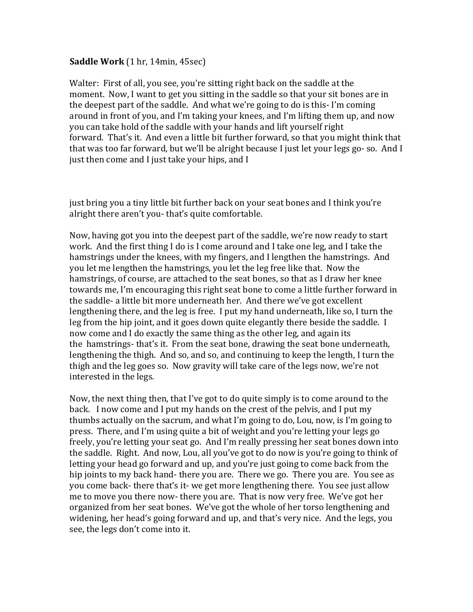#### **Saddle Work** (1 hr, 14min, 45sec)

Walter: First of all, you see, you're sitting right back on the saddle at the moment. Now, I want to get you sitting in the saddle so that your sit bones are in the deepest part of the saddle. And what we're going to do is this- I'm coming around in front of you, and I'm taking your knees, and I'm lifting them up, and now you can take hold of the saddle with your hands and lift yourself right forward. That's it. And even a little bit further forward, so that you might think that that was too far forward, but we'll be alright because I just let your legs go- so. And I just then come and I just take your hips, and I

just bring you a tiny little bit further back on your seat bones and I think you're alright there aren't you- that's quite comfortable.

Now, having got you into the deepest part of the saddle, we're now ready to start work. And the first thing I do is I come around and I take one leg, and I take the hamstrings under the knees, with my fingers, and I lengthen the hamstrings. And you let me lengthen the hamstrings, you let the leg free like that. Now the hamstrings, of course, are attached to the seat bones, so that as I draw her knee towards me, I'm encouraging this right seat bone to come a little further forward in the saddle- a little bit more underneath her. And there we've got excellent lengthening there, and the leg is free. I put my hand underneath, like so, I turn the leg from the hip joint, and it goes down quite elegantly there beside the saddle. I now come and I do exactly the same thing as the other leg, and again its the hamstrings- that's it. From the seat bone, drawing the seat bone underneath, lengthening the thigh. And so, and so, and continuing to keep the length. I turn the thigh and the leg goes so. Now gravity will take care of the legs now, we're not interested in the legs.

Now, the next thing then, that I've got to do quite simply is to come around to the back. I now come and I put my hands on the crest of the pelvis, and I put my thumbs actually on the sacrum, and what I'm going to do, Lou, now, is I'm going to press. There, and I'm using quite a bit of weight and you're letting your legs go freely, you're letting your seat go. And I'm really pressing her seat bones down into the saddle. Right. And now, Lou, all you've got to do now is you're going to think of letting your head go forward and up, and you're just going to come back from the hip joints to my back hand- there you are. There we go. There you are. You see as you come back- there that's it- we get more lengthening there. You see just allow me to move you there now- there you are. That is now very free. We've got her organized from her seat bones. We've got the whole of her torso lengthening and widening, her head's going forward and up, and that's very nice. And the legs, you see, the legs don't come into it.